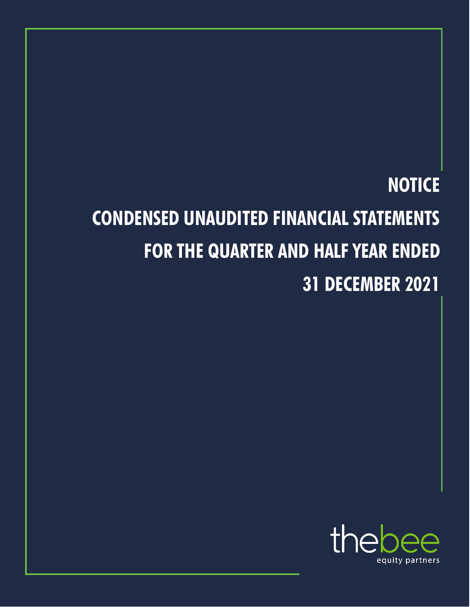# **NOTICE CONDENSED UNAUDITED FINANCIAL STATEMENTS FOR THE QUARTER AND HALF YEAR ENDED 31 DECEMBER 2021**